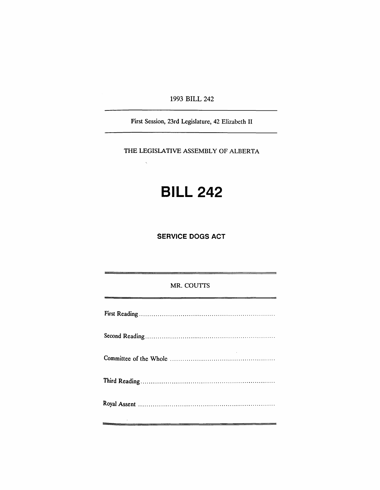1993 BILL 242

First Session, 23rd Legislature, 42 Elizabeth II

THE LEGISLATIVE ASSEMBLY OF ALBERTA

 $\ddot{\phantom{0}}$ 

## **BILL 242**

**SERVICE DOGS ACT**

## MR. COUTTS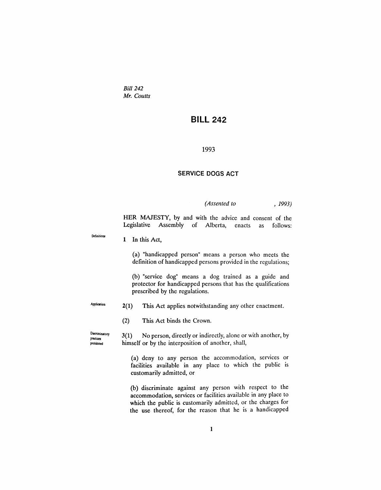*Bill 242 Mr. Coutts*

## **BILL 242**

1993

## **SERVICE DOGS ACT**

*(Assented to* , 1993)

HER MAJESTY, by and with the advice and consent of the Legislative Assembly of Alberta, enacts as follows:

1 In this Act,

(a) "handicapped person" means a person who meets the definition of handicapped persons provided in the regulations;

(b) "service dog" means a dog trained as a guide and protector for handicapped persons that has the qualifications prescribed by the regulations.

Application

Definitions

- 2(1) This Act applies notwithstanding any other enactment.
- (2) This Act binds the Crown.

3(1) No person, directly or indirectly, alone or with another, by himself or by the interposition of another, shall,

> (a) deny to any person the accommodation, services or facilities available in any place to which the public is customarily admitted, or

> (b) discriminate against any person with respect to the accommodation, services or facilities available in any place to which the public is customarily admitted, or the charges for the use thereof, for the reason that he is a handicapped

Discriminatory practices prohibited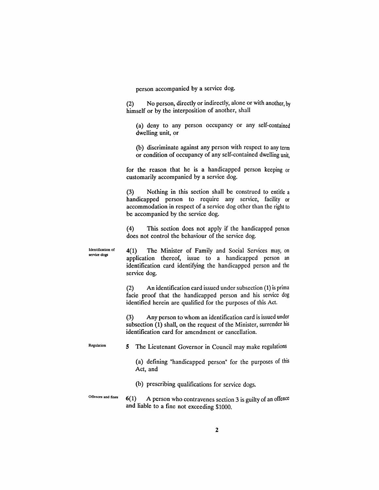person accompanied by a service dog.

(2) No person, directly or indirectly, alone or with another, by himself or by the interposition of another, shall

(a) deny to any person occupancy or any self-contained dwelling unit, or

(b) discriminate against any person with respect to any term or condition of occupancy of any self-contained dwelling unit,

for the reason that he is a handicapped person keeping or customarily accompanied by a service dog.

(3) Nothing in this section shall be construed to entitle a handicapped person to require any service, facility or accommodation in respect of a service dog other than the right to be accompanied by the service dog.

(4) This section does not apply if the handicapped person does not control the behaviour of the service dog.

Identification of service dogs 4(1) The Minister of Family and Social Services may, on application thereof, issue to a handicapped person an identification card identifying the handicapped person and the service dog.

> (2) An identification card issued under subsection (1) is prima facie proof that the handicapped person and his service dog identified herein are qualified for the purposes of this Act.

> (3) Any person to whom an identification card is issued under subsection (1) shall, on the request of the Minister, surrender his identification card for amendment or cancellation.

Regulation

5 The Lieutenant Governor in Council may make regulations

(a) defining "handicapped person" for the purposes of this Act, and

(b) prescribing qualifications for service dogs.

Offences and fines

 $6(1)$  A person who contravenes section 3 is guilty of an offence and liable to a fine not exceeding \$1000.